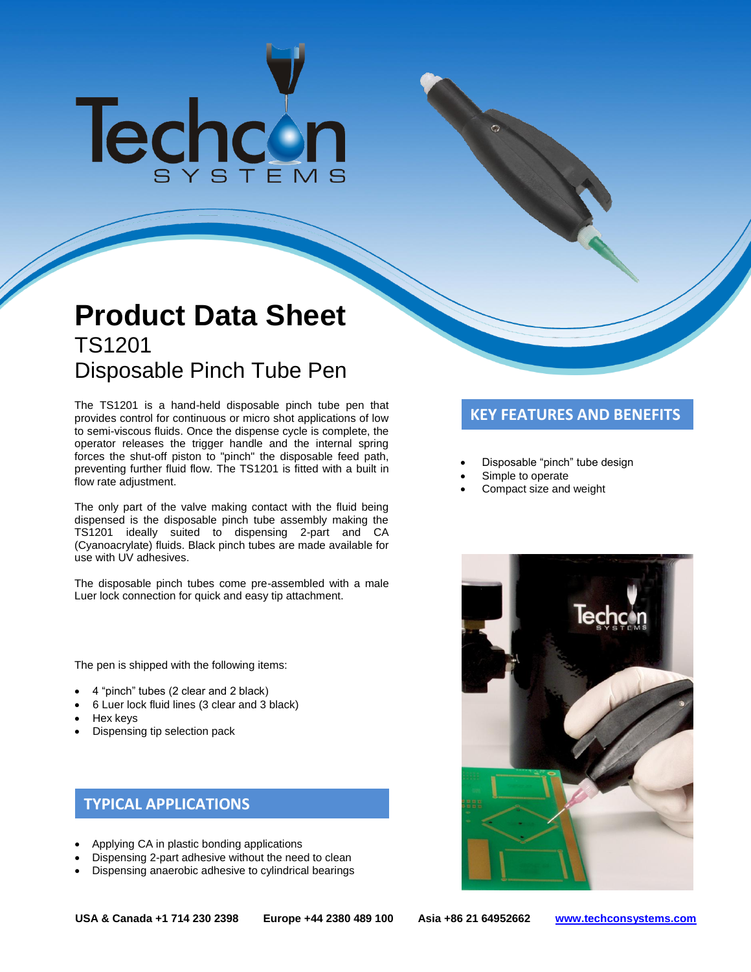# Techcon

# **Product Data Sheet** TS1201 Disposable Pinch Tube Pen

The TS1201 is a hand-held disposable pinch tube pen that **KEY FEATURES AND BENEFITS**<br>provides control for continuous or micro shot applications of low **KEY FEATURES AND BENEFITS** to semi-viscous fluids. Once the dispense cycle is complete, the operator releases the trigger handle and the internal spring forces the shut-off piston to "pinch" the disposable feed path, preventing further fluid flow. The TS1201 is fitted with a built in flow rate adjustment.

The only part of the valve making contact with the fluid being dispensed is the disposable pinch tube assembly making the TS1201 ideally suited to dispensing 2-part and CA (Cyanoacrylate) fluids. Black pinch tubes are made available for use with UV adhesives.

The disposable pinch tubes come pre-assembled with a male Luer lock connection for quick and easy tip attachment.

The pen is shipped with the following items:

- 4 "pinch" tubes (2 clear and 2 black)
- 6 Luer lock fluid lines (3 clear and 3 black)
- Hex keys
- Dispensing tip selection pack

# **TYPICAL APPLICATIONS**

- Applying CA in plastic bonding applications
- Dispensing 2-part adhesive without the need to clean
- Dispensing anaerobic adhesive to cylindrical bearings

- Disposable "pinch" tube design
- Simple to operate
- Compact size and weight